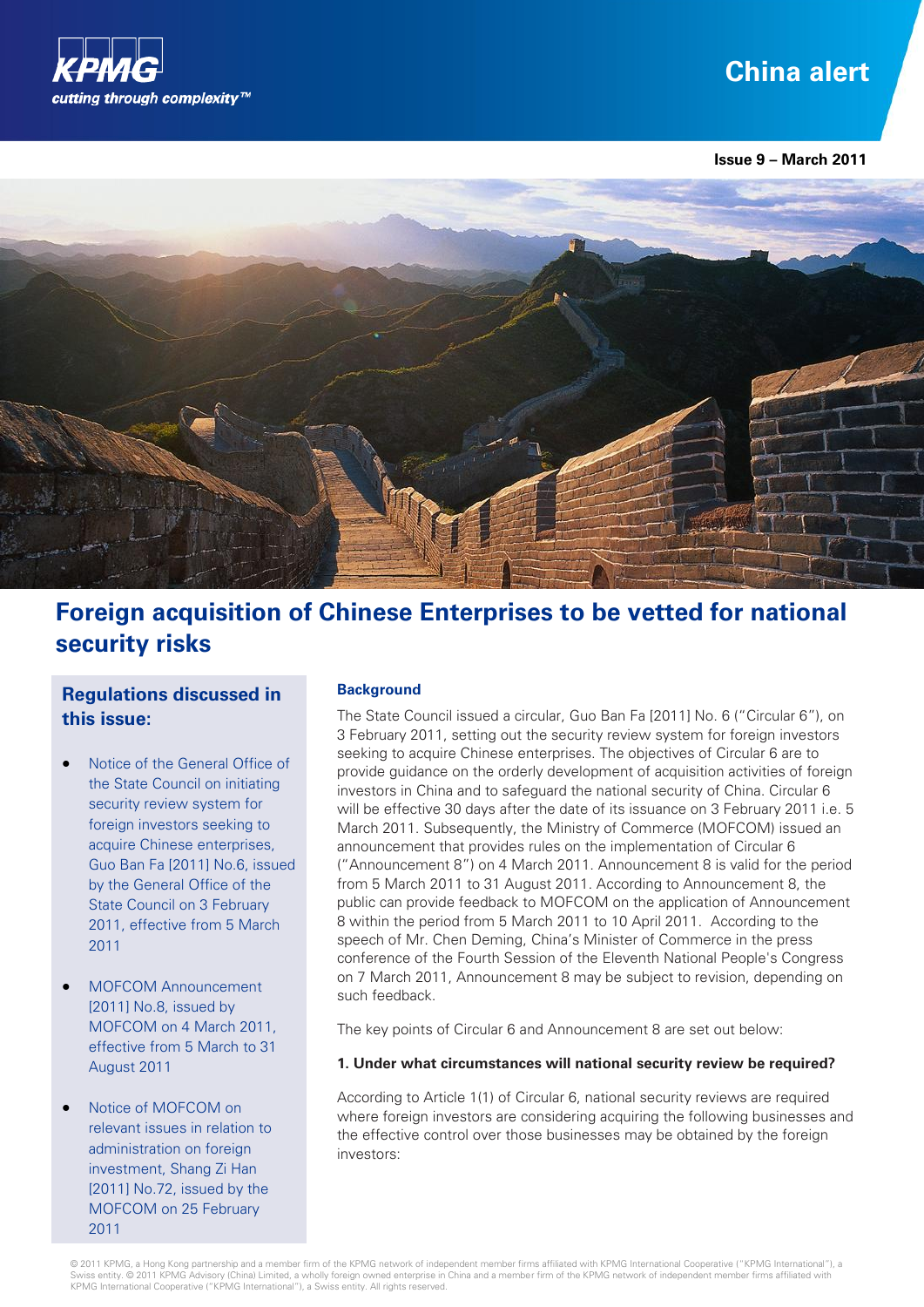

# **China alert**

**Issue 9 – March 2011** 



## **Foreign acquisition of Chinese Enterprises to be vetted for national security risks**

### **Regulations discussed in this issue:**

- Notice of the General Office of the State Council on initiating security review system for foreign investors seeking to acquire Chinese enterprises, Guo Ban Fa [2011] No.6, issued by the General Office of the State Council on 3 February 2011, effective from 5 March 2011
- MOFCOM Announcement [2011] No.8, issued by MOFCOM on 4 March 2011, effective from 5 March to 31 August 2011
- Notice of MOFCOM on relevant issues in relation to administration on foreign investment, Shang Zi Han [2011] No.72, issued by the MOFCOM on 25 February 2011

#### **Background**

The State Council issued a circular, Guo Ban Fa [2011] No. 6 ("Circular 6"), on 3 February 2011, setting out the security review system for foreign investors seeking to acquire Chinese enterprises. The objectives of Circular 6 are to provide guidance on the orderly development of acquisition activities of foreign investors in China and to safeguard the national security of China. Circular 6 will be effective 30 days after the date of its issuance on 3 February 2011 i.e. 5 March 2011. Subsequently, the Ministry of Commerce (MOFCOM) issued an announcement that provides rules on the implementation of Circular 6 ("Announcement 8") on 4 March 2011. Announcement 8 is valid for the period from 5 March 2011 to 31 August 2011. According to Announcement 8, the public can provide feedback to MOFCOM on the application of Announcement 8 within the period from 5 March 2011 to 10 April 2011. According to the speech of Mr. Chen Deming, China's Minister of Commerce in the press conference of the Fourth Session of the Eleventh National People's Congress on 7 March 2011, Announcement 8 may be subject to revision, depending on such feedback.

The key points of Circular 6 and Announcement 8 are set out below:

#### **1. Under what circumstances will national security review be required?**

According to Article 1(1) of Circular 6, national security reviews are required where foreign investors are considering acquiring the following businesses and the effective control over those businesses may be obtained by the foreign investors: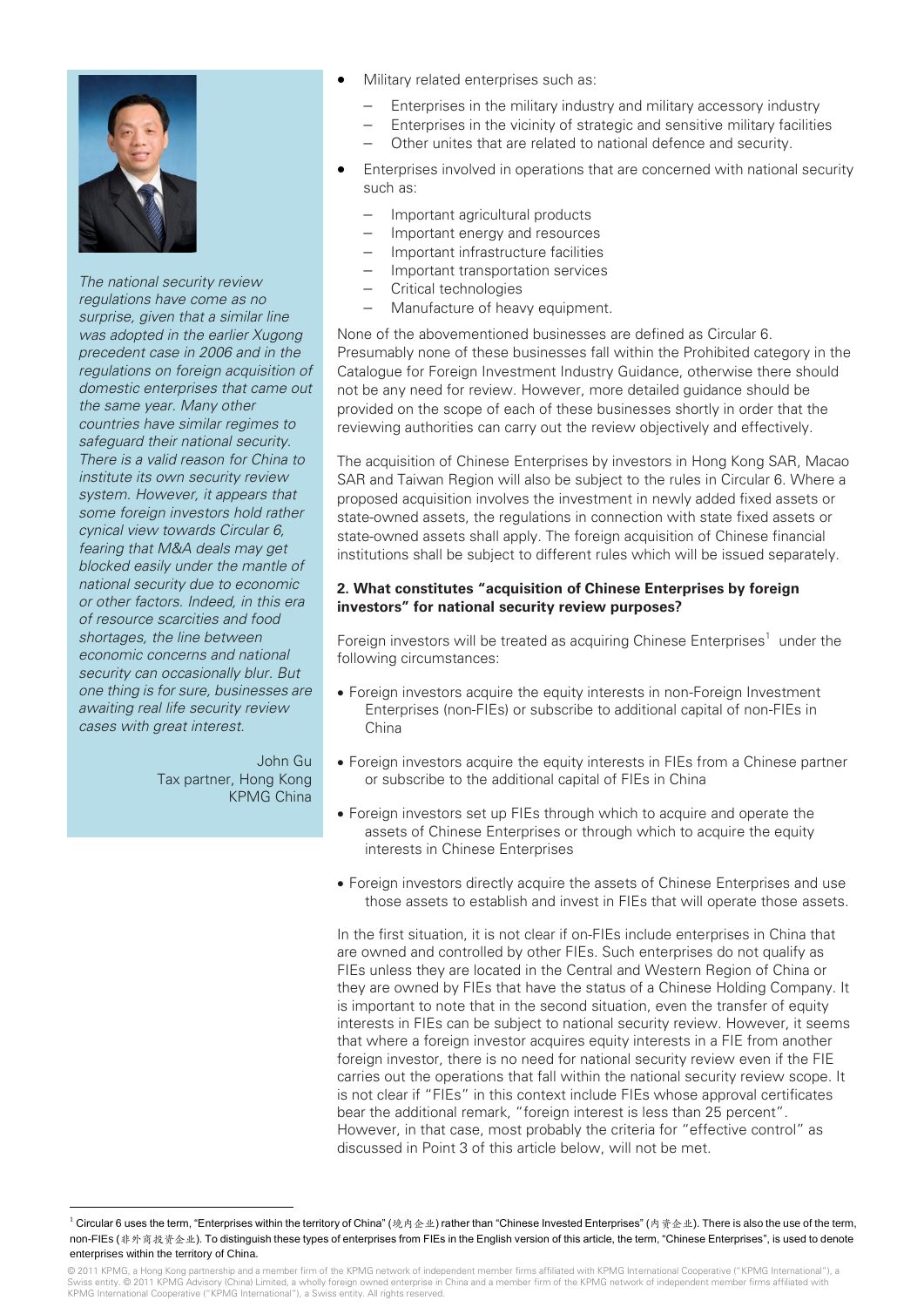

*The national security review regulations have come as no surprise, given that a similar line was adopted in the earlier Xugong precedent case in 2006 and in the regulations on foreign acquisition of domestic enterprises that came out the same year. Many other countries have similar regimes to safeguard their national security. There is a valid reason for China to institute its own security review system. However, it appears that some foreign investors hold rather cynical view towards Circular 6, fearing that M&A deals may get blocked easily under the mantle of national security due to economic or other factors. Indeed, in this era of resource scarcities and food shortages, the line between economic concerns and national security can occasionally blur. But one thing is for sure, businesses are awaiting real life security review cases with great interest.*

> John Gu Tax partner, Hong Kong KPMG China

> > I

1

- Military related enterprises such as:
	- Enterprises in the military industry and military accessory industry
		- Enterprises in the vicinity of strategic and sensitive military facilities
	- Other unites that are related to national defence and security.
- Enterprises involved in operations that are concerned with national security such as:
	- Important agricultural products
	- Important energy and resources
	- Important infrastructure facilities
	- Important transportation services
	- Critical technologies
	- Manufacture of heavy equipment.

None of the abovementioned businesses are defined as Circular 6. Presumably none of these businesses fall within the Prohibited category in the Catalogue for Foreign Investment Industry Guidance, otherwise there should not be any need for review. However, more detailed guidance should be provided on the scope of each of these businesses shortly in order that the reviewing authorities can carry out the review objectively and effectively.

The acquisition of Chinese Enterprises by investors in Hong Kong SAR, Macao SAR and Taiwan Region will also be subject to the rules in Circular 6. Where a proposed acquisition involves the investment in newly added fixed assets or state-owned assets, the regulations in connection with state fixed assets or state-owned assets shall apply. The foreign acquisition of Chinese financial institutions shall be subject to different rules which will be issued separately.

#### **2. What constitutes "acquisition of Chinese Enterprises by foreign investors" for national security review purposes?**

Foreign investors will be treated as acquiring Chinese Enterprises<sup>1</sup> under the following circumstances:

- Foreign investors acquire the equity interests in non-Foreign Investment Enterprises (non-FIEs) or subscribe to additional capital of non-FIEs in China
- Foreign investors acquire the equity interests in FIEs from a Chinese partner or subscribe to the additional capital of FIEs in China
- Foreign investors set up FIEs through which to acquire and operate the assets of Chinese Enterprises or through which to acquire the equity interests in Chinese Enterprises
- Foreign investors directly acquire the assets of Chinese Enterprises and use those assets to establish and invest in FIEs that will operate those assets.

In the first situation, it is not clear if on-FIEs include enterprises in China that are owned and controlled by other FIEs. Such enterprises do not qualify as FIEs unless they are located in the Central and Western Region of China or they are owned by FIEs that have the status of a Chinese Holding Company. It is important to note that in the second situation, even the transfer of equity interests in FIEs can be subject to national security review. However, it seems that where a foreign investor acquires equity interests in a FIE from another foreign investor, there is no need for national security review even if the FIE carries out the operations that fall within the national security review scope. It is not clear if "FIEs" in this context include FIEs whose approval certificates bear the additional remark, "foreign interest is less than 25 percent". However, in that case, most probably the criteria for "effective control" as discussed in Point 3 of this article below, will not be met.

<sup>&</sup>lt;sup>1</sup> Circular 6 uses the term, "Enterprises within the territory of China" (境内企业) rather than "Chinese Invested Enterprises" (内资企业). There is also the use of the term, non-FIEs (非外商投资企业). To distinguish these types of enterprises from FIEs in the English version of this article, the term, "Chinese Enterprises", is used to denote enterprises within the territory of China.

<sup>© 2011</sup> KPMG, a Hong Kong partnership and a member firm of the KPMG network of independent member firms affiliated with KPMG International Cooperative ("KPMG International"), a Swiss entity. © 2011 KPMG Advisory (China) Limited, a wholly foreign owned enterprise in China and a member firm of the KPMG network of independent member firms affiliated with KPMG International Cooperative ("KPMG International"), a Swiss entity. All rights reserved.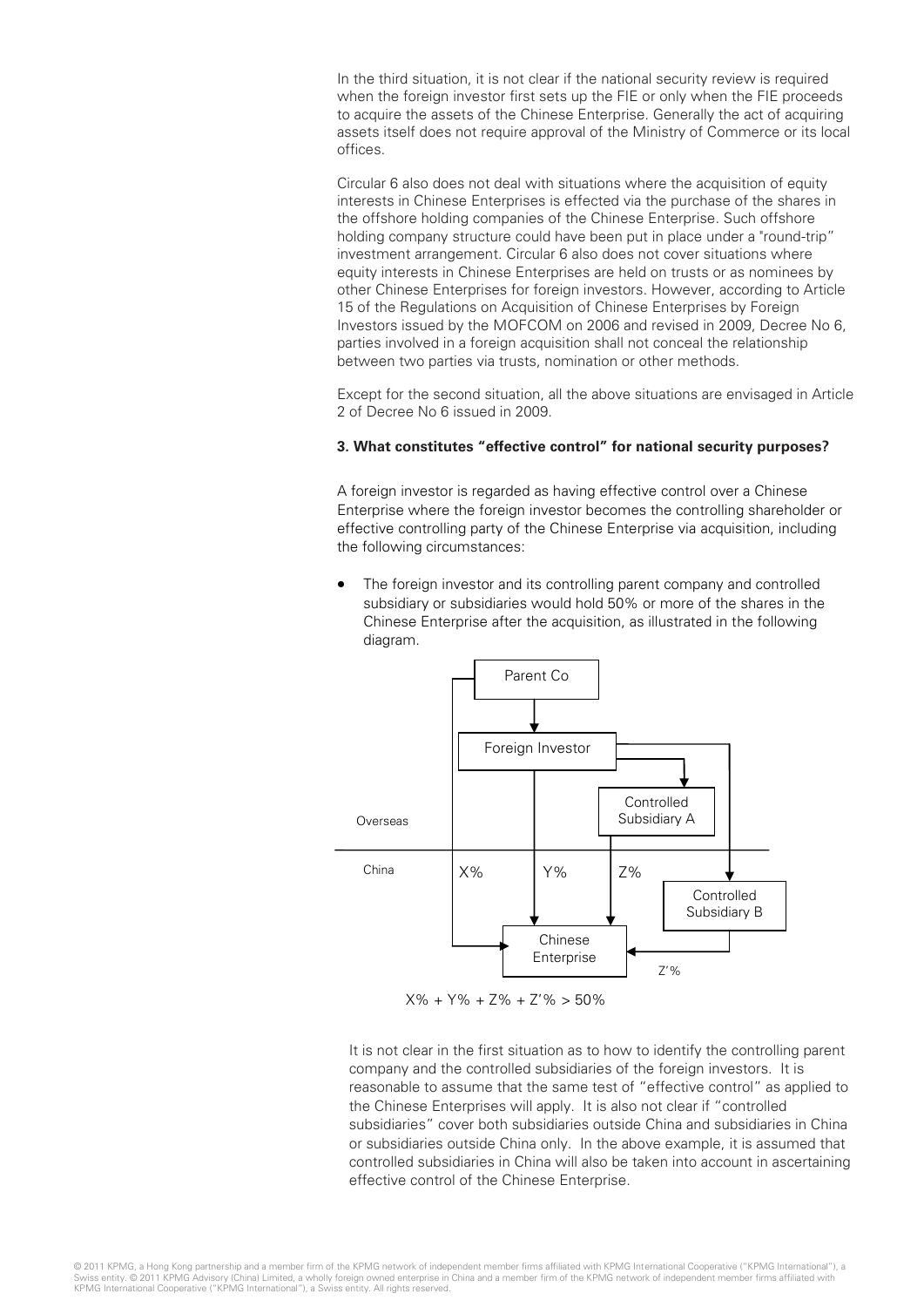In the third situation, it is not clear if the national security review is required when the foreign investor first sets up the FIE or only when the FIE proceeds to acquire the assets of the Chinese Enterprise. Generally the act of acquiring assets itself does not require approval of the Ministry of Commerce or its local offices.

Circular 6 also does not deal with situations where the acquisition of equity interests in Chinese Enterprises is effected via the purchase of the shares in the offshore holding companies of the Chinese Enterprise. Such offshore holding company structure could have been put in place under a "round-trip" investment arrangement. Circular 6 also does not cover situations where equity interests in Chinese Enterprises are held on trusts or as nominees by other Chinese Enterprises for foreign investors. However, according to Article 15 of the Regulations on Acquisition of Chinese Enterprises by Foreign Investors issued by the MOFCOM on 2006 and revised in 2009, Decree No 6, parties involved in a foreign acquisition shall not conceal the relationship between two parties via trusts, nomination or other methods.

Except for the second situation, all the above situations are envisaged in Article 2 of Decree No 6 issued in 2009.

#### **3. What constitutes "effective control" for national security purposes?**

A foreign investor is regarded as having effective control over a Chinese Enterprise where the foreign investor becomes the controlling shareholder or effective controlling party of the Chinese Enterprise via acquisition, including the following circumstances:

 The foreign investor and its controlling parent company and controlled subsidiary or subsidiaries would hold 50% or more of the shares in the Chinese Enterprise after the acquisition, as illustrated in the following diagram.



 $X\% + Y\% + Z\% + Z'\% > 50\%$ 

It is not clear in the first situation as to how to identify the controlling parent company and the controlled subsidiaries of the foreign investors. It is reasonable to assume that the same test of "effective control" as applied to the Chinese Enterprises will apply. It is also not clear if "controlled subsidiaries" cover both subsidiaries outside China and subsidiaries in China or subsidiaries outside China only. In the above example, it is assumed that controlled subsidiaries in China will also be taken into account in ascertaining effective control of the Chinese Enterprise.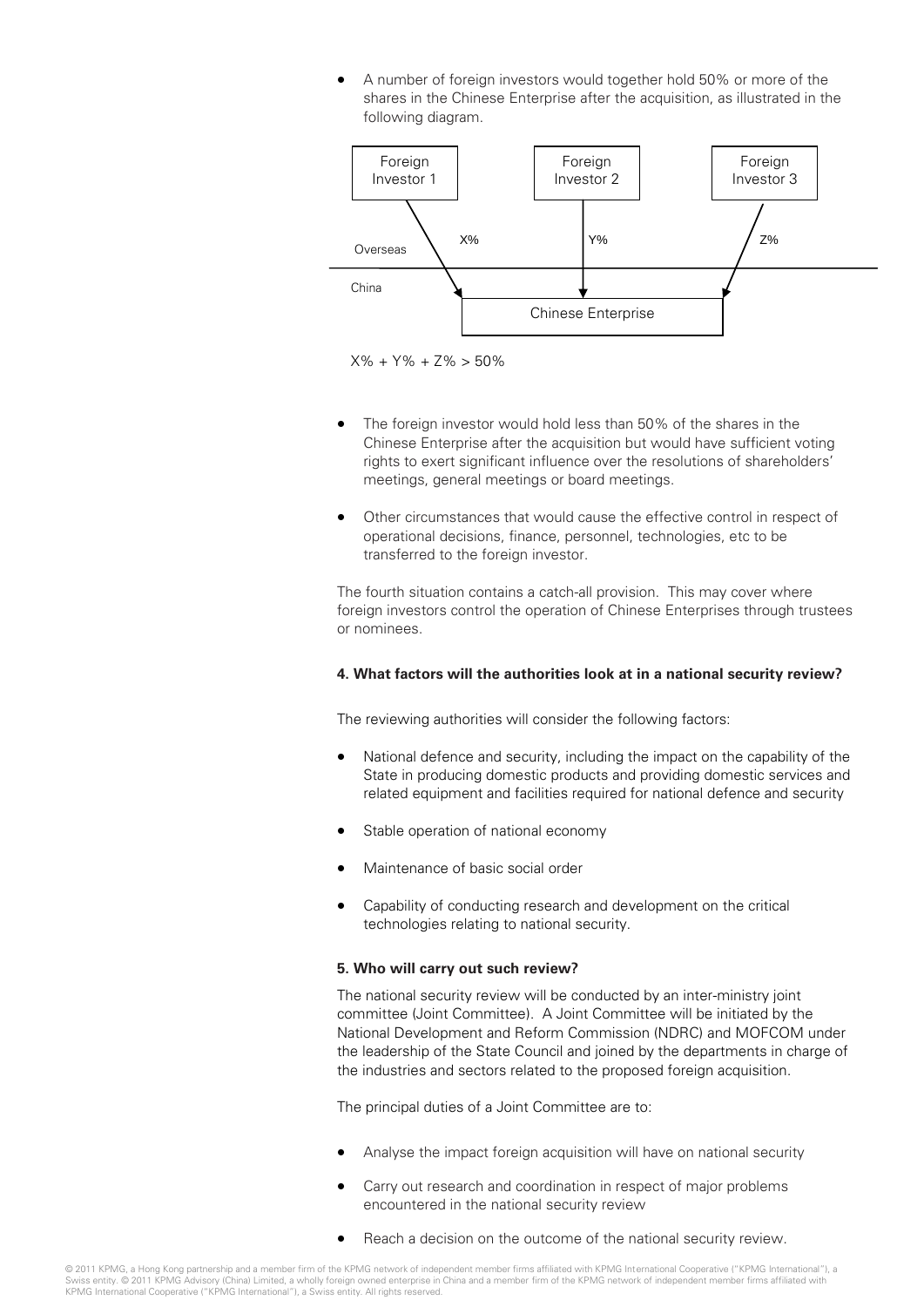A number of foreign investors would together hold 50% or more of the shares in the Chinese Enterprise after the acquisition, as illustrated in the following diagram.



X% + Y% + Z% > 50%

- The foreign investor would hold less than 50% of the shares in the Chinese Enterprise after the acquisition but would have sufficient voting rights to exert significant influence over the resolutions of shareholders' meetings, general meetings or board meetings.
- Other circumstances that would cause the effective control in respect of operational decisions, finance, personnel, technologies, etc to be transferred to the foreign investor.

The fourth situation contains a catch-all provision. This may cover where foreign investors control the operation of Chinese Enterprises through trustees or nominees.

#### **4. What factors will the authorities look at in a national security review?**

The reviewing authorities will consider the following factors:

- National defence and security, including the impact on the capability of the State in producing domestic products and providing domestic services and related equipment and facilities required for national defence and security
- Stable operation of national economy
- Maintenance of basic social order
- Capability of conducting research and development on the critical technologies relating to national security.

#### **5. Who will carry out such review?**

The national security review will be conducted by an inter-ministry joint committee (Joint Committee). A Joint Committee will be initiated by the National Development and Reform Commission (NDRC) and MOFCOM under the leadership of the State Council and joined by the departments in charge of the industries and sectors related to the proposed foreign acquisition.

The principal duties of a Joint Committee are to:

- Analyse the impact foreign acquisition will have on national security
- Carry out research and coordination in respect of major problems encountered in the national security review
- Reach a decision on the outcome of the national security review.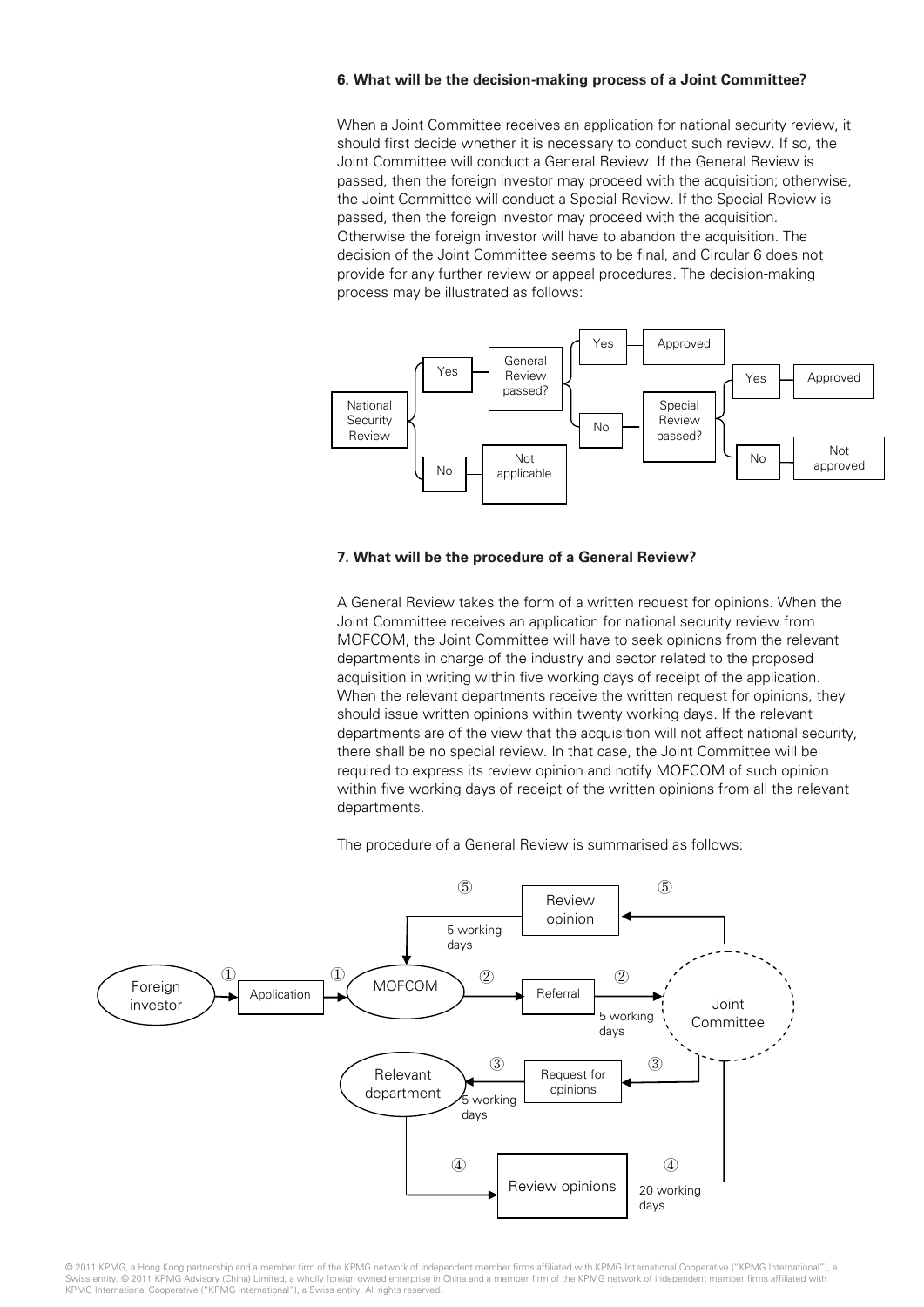#### **6. What will be the decision-making process of a Joint Committee?**

When a Joint Committee receives an application for national security review, it should first decide whether it is necessary to conduct such review. If so, the Joint Committee will conduct a General Review. If the General Review is passed, then the foreign investor may proceed with the acquisition; otherwise, the Joint Committee will conduct a Special Review. If the Special Review is passed, then the foreign investor may proceed with the acquisition. Otherwise the foreign investor will have to abandon the acquisition. The decision of the Joint Committee seems to be final, and Circular 6 does not provide for any further review or appeal procedures. The decision-making process may be illustrated as follows:



#### **7. What will be the procedure of a General Review?**

A General Review takes the form of a written request for opinions. When the Joint Committee receives an application for national security review from MOFCOM, the Joint Committee will have to seek opinions from the relevant departments in charge of the industry and sector related to the proposed acquisition in writing within five working days of receipt of the application. When the relevant departments receive the written request for opinions, they should issue written opinions within twenty working days. If the relevant departments are of the view that the acquisition will not affect national security, there shall be no special review. In that case, the Joint Committee will be required to express its review opinion and notify MOFCOM of such opinion within five working days of receipt of the written opinions from all the relevant departments.

The procedure of a General Review is summarised as follows:

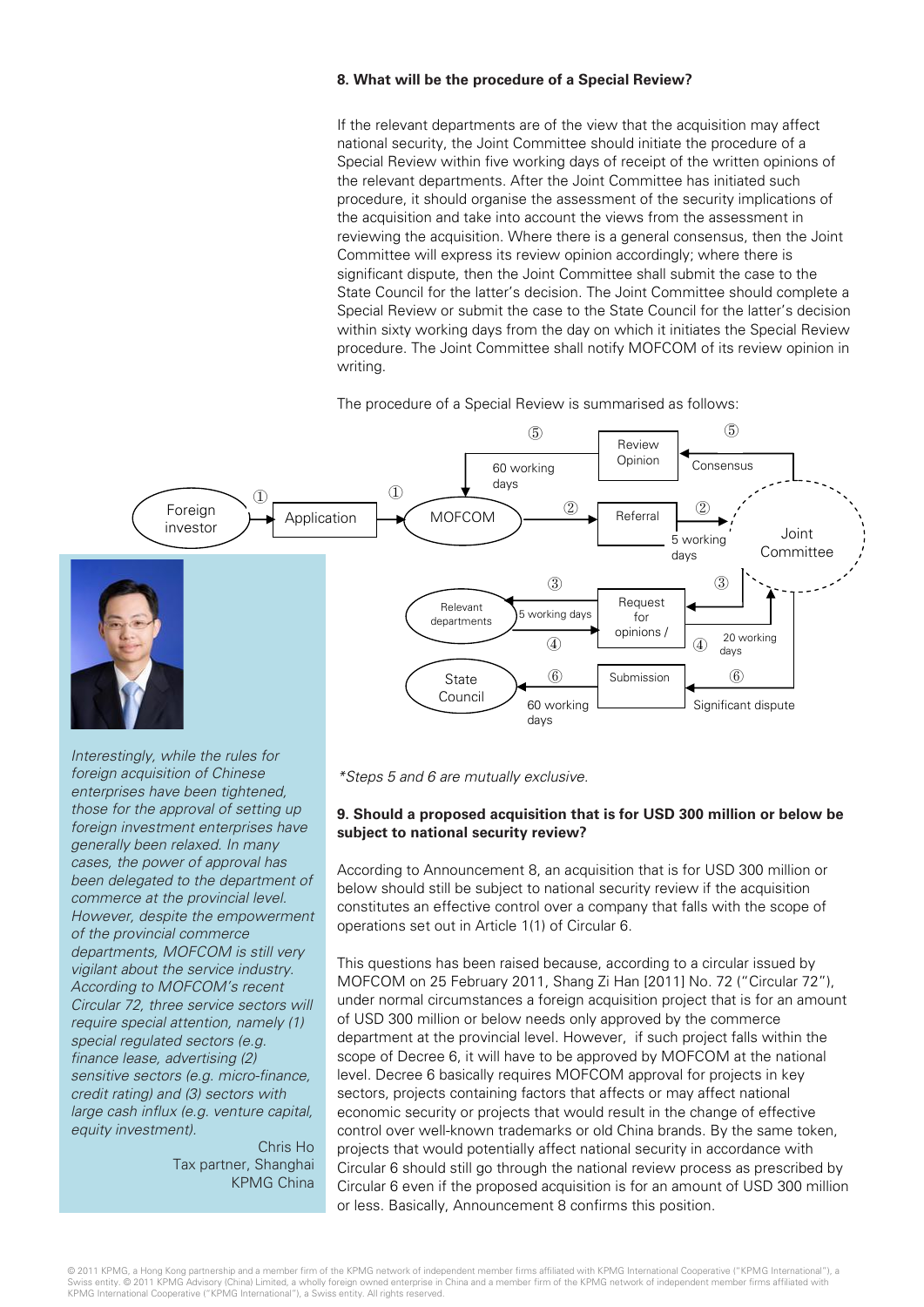#### **8. What will be the procedure of a Special Review?**

If the relevant departments are of the view that the acquisition may affect national security, the Joint Committee should initiate the procedure of a Special Review within five working days of receipt of the written opinions of the relevant departments. After the Joint Committee has initiated such procedure, it should organise the assessment of the security implications of the acquisition and take into account the views from the assessment in reviewing the acquisition. Where there is a general consensus, then the Joint Committee will express its review opinion accordingly; where there is significant dispute, then the Joint Committee shall submit the case to the State Council for the latter's decision. The Joint Committee should complete a Special Review or submit the case to the State Council for the latter's decision within sixty working days from the day on which it initiates the Special Review procedure. The Joint Committee shall notify MOFCOM of its review opinion in writing.

The procedure of a Special Review is summarised as follows:



*Interestingly, while the rules for foreign acquisition of Chinese enterprises have been tightened, those for the approval of setting up foreign investment enterprises have generally been relaxed. In many cases, the power of approval has been delegated to the department of commerce at the provincial level. However, despite the empowerment of the provincial commerce departments, MOFCOM is still very vigilant about the service industry. According to MOFCOM's recent Circular 72, three service sectors will require special attention, namely (1) special regulated sectors (e.g. finance lease, advertising (2) sensitive sectors (e.g. micro-finance, credit rating) and (3) sectors with large cash influx (e.g. venture capital, equity investment).*

Chris Ho Tax partner, Shanghai KPMG China *\*Steps 5 and 6 are mutually exclusive.*

#### **9. Should a proposed acquisition that is for USD 300 million or below be subject to national security review?**

According to Announcement 8, an acquisition that is for USD 300 million or below should still be subject to national security review if the acquisition constitutes an effective control over a company that falls with the scope of operations set out in Article 1(1) of Circular 6.

This questions has been raised because, according to a circular issued by MOFCOM on 25 February 2011, Shang Zi Han [2011] No. 72 ("Circular 72"), under normal circumstances a foreign acquisition project that is for an amount of USD 300 million or below needs only approved by the commerce department at the provincial level. However, if such project falls within the scope of Decree 6, it will have to be approved by MOFCOM at the national level. Decree 6 basically requires MOFCOM approval for projects in key sectors, projects containing factors that affects or may affect national economic security or projects that would result in the change of effective control over well-known trademarks or old China brands. By the same token, projects that would potentially affect national security in accordance with Circular 6 should still go through the national review process as prescribed by Circular 6 even if the proposed acquisition is for an amount of USD 300 million or less. Basically, Announcement 8 confirms this position.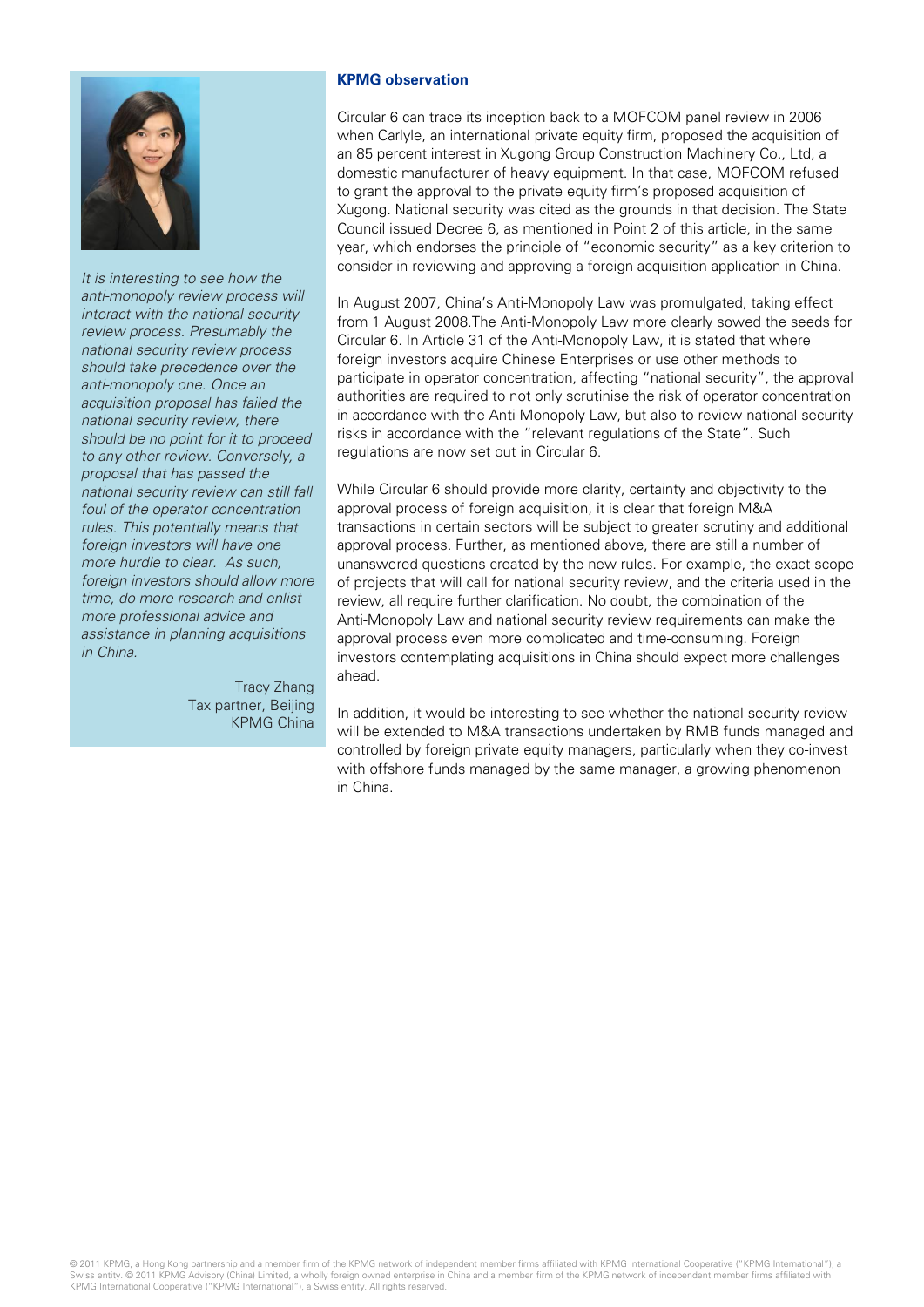

*It is interesting to see how the anti-monopoly review process will interact with the national security review process. Presumably the national security review process should take precedence over the anti-monopoly one. Once an acquisition proposal has failed the national security review, there should be no point for it to proceed to any other review. Conversely, a proposal that has passed the national security review can still fall foul of the operator concentration rules. This potentially means that foreign investors will have one more hurdle to clear. As such, foreign investors should allow more time, do more research and enlist more professional advice and assistance in planning acquisitions in China.*

> Tracy Zhang Tax partner, Beijing KPMG China

#### **KPMG observation**

Circular 6 can trace its inception back to a MOFCOM panel review in 2006 when Carlyle, an international private equity firm, proposed the acquisition of an 85 percent interest in Xugong Group Construction Machinery Co., Ltd, a domestic manufacturer of heavy equipment. In that case, MOFCOM refused to grant the approval to the private equity firm's proposed acquisition of Xugong. National security was cited as the grounds in that decision. The State Council issued Decree 6, as mentioned in Point 2 of this article, in the same year, which endorses the principle of "economic security" as a key criterion to consider in reviewing and approving a foreign acquisition application in China.

In August 2007, China's Anti-Monopoly Law was promulgated, taking effect from 1 August 2008.The Anti-Monopoly Law more clearly sowed the seeds for Circular 6. In Article 31 of the Anti-Monopoly Law, it is stated that where foreign investors acquire Chinese Enterprises or use other methods to participate in operator concentration, affecting "national security", the approval authorities are required to not only scrutinise the risk of operator concentration in accordance with the Anti-Monopoly Law, but also to review national security risks in accordance with the "relevant regulations of the State". Such regulations are now set out in Circular 6.

While Circular 6 should provide more clarity, certainty and objectivity to the approval process of foreign acquisition, it is clear that foreign M&A transactions in certain sectors will be subject to greater scrutiny and additional approval process. Further, as mentioned above, there are still a number of unanswered questions created by the new rules. For example, the exact scope of projects that will call for national security review, and the criteria used in the review, all require further clarification. No doubt, the combination of the Anti-Monopoly Law and national security review requirements can make the approval process even more complicated and time-consuming. Foreign investors contemplating acquisitions in China should expect more challenges ahead.

In addition, it would be interesting to see whether the national security review will be extended to M&A transactions undertaken by RMB funds managed and controlled by foreign private equity managers, particularly when they co-invest with offshore funds managed by the same manager, a growing phenomenon in China.